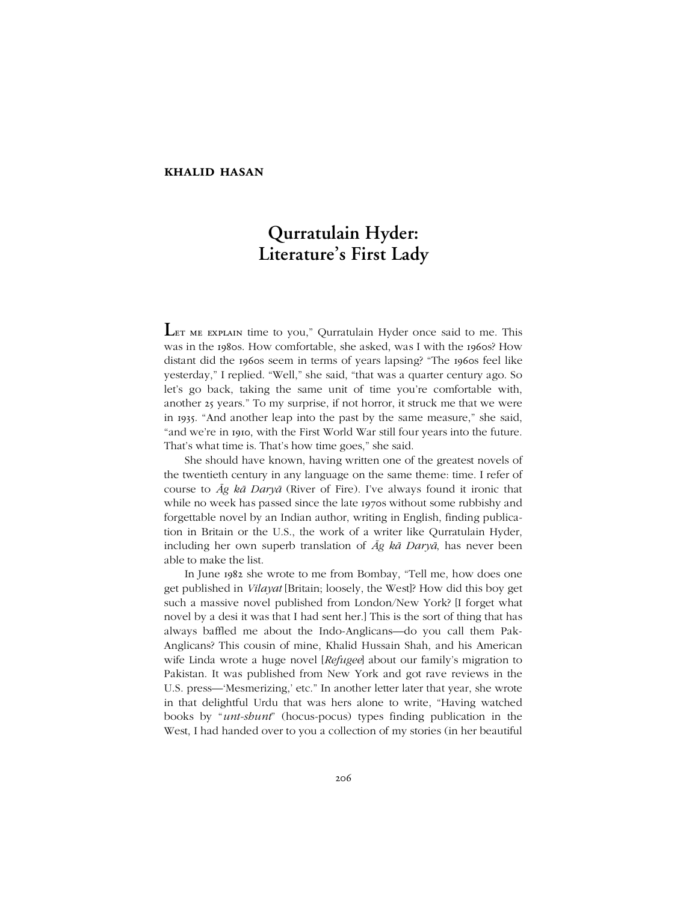## **khalid hasan**

# **Qurratulain Hyder: Literature's First Lady**

LET ME EXPLAIN time to you," Qurratulain Hyder once said to me. This was in the 1980s. How comfortable, she asked, was I with the 1960s? How distant did the 1960s seem in terms of years lapsing? "The 1960s feel like yesterday," I replied. "Well," she said, "that was a quarter century ago. So let's go back, taking the same unit of time you're comfortable with, another 25 years.î To my surprise, if not horror, it struck me that we were in 1935. "And another leap into the past by the same measure," she said, "and we're in 1910, with the First World War still four years into the future. That's what time is. That's how time goes," she said.

She should have known, having written one of the greatest novels of the twentieth century in any language on the same theme: time. I refer of course to *Āg kā Daryā* (River of Fire). Iíve always found it ironic that while no week has passed since the late 1970s without some rubbishy and forgettable novel by an Indian author, writing in English, finding publication in Britain or the U.S., the work of a writer like Qurratulain Hyder, including her own superb translation of *Āg kā Daryā*, has never been able to make the list.

In June 1982 she wrote to me from Bombay, "Tell me, how does one get published in *Vilayat* [Britain; loosely, the West]? How did this boy get such a massive novel published from London/New York? [I forget what novel by a desi it was that I had sent her.] This is the sort of thing that has always baffled me about the Indo-Anglicans—do you call them Pak-Anglicans? This cousin of mine, Khalid Hussain Shah, and his American wife Linda wrote a huge novel [*Refugee*] about our family's migration to Pakistan. It was published from New York and got rave reviews in the U.S. press—'Mesmerizing,' etc." In another letter later that year, she wrote in that delightful Urdu that was hers alone to write, "Having watched books by "*unt-shunt*" (hocus-pocus) types finding publication in the West, I had handed over to you a collection of my stories (in her beautiful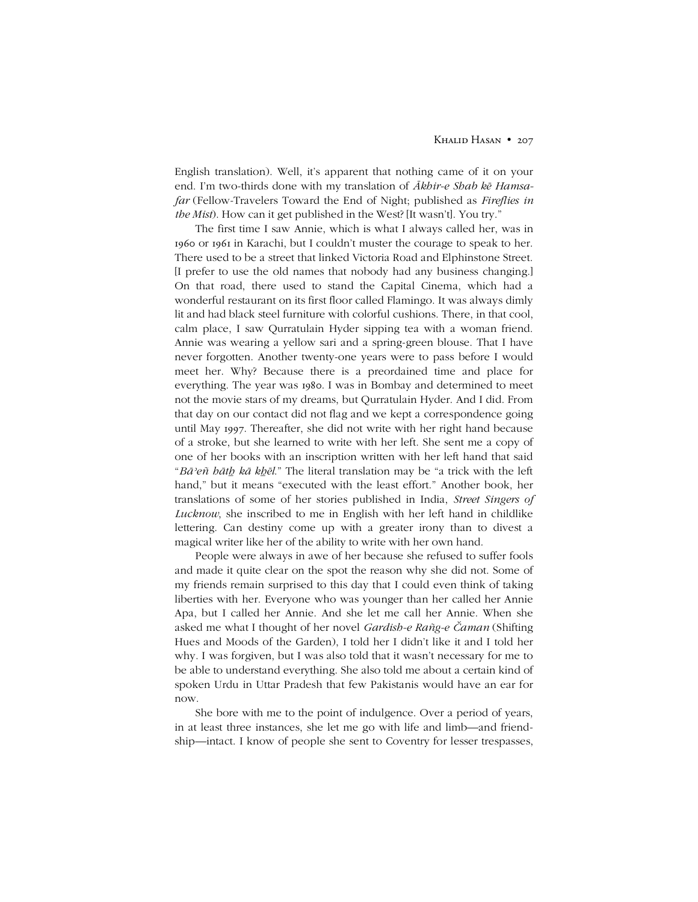English translation). Well, it's apparent that nothing came of it on your end. Iím two-thirds done with my translation of *Ākhir-e Shab kē Hamsafar* (Fellow-Travelers Toward the End of Night; published as *Fireflies in the Mist*). How can it get published in the West? [It wasn't]. You try."

The first time I saw Annie, which is what I always called her, was in 1960 or 1961 in Karachi, but I couldnít muster the courage to speak to her. There used to be a street that linked Victoria Road and Elphinstone Street. [I prefer to use the old names that nobody had any business changing.] On that road, there used to stand the Capital Cinema, which had a wonderful restaurant on its first floor called Flamingo. It was always dimly lit and had black steel furniture with colorful cushions. There, in that cool, calm place, I saw Qurratulain Hyder sipping tea with a woman friend. Annie was wearing a yellow sari and a spring-green blouse. That I have never forgotten. Another twenty-one years were to pass before I would meet her. Why? Because there is a preordained time and place for everything. The year was 1980. I was in Bombay and determined to meet not the movie stars of my dreams, but Qurratulain Hyder. And I did. From that day on our contact did not flag and we kept a correspondence going until May 1997. Thereafter, she did not write with her right hand because of a stroke, but she learned to write with her left. She sent me a copy of one of her books with an inscription written with her left hand that said ì*Bāʾeñ hātẖ kā kẖēl*.î The literal translation may be ìa trick with the left hand," but it means "executed with the least effort." Another book, her translations of some of her stories published in India, *Street Singers of Lucknow*, she inscribed to me in English with her left hand in childlike lettering. Can destiny come up with a greater irony than to divest a magical writer like her of the ability to write with her own hand.

People were always in awe of her because she refused to suffer fools and made it quite clear on the spot the reason why she did not. Some of my friends remain surprised to this day that I could even think of taking liberties with her. Everyone who was younger than her called her Annie Apa, but I called her Annie. And she let me call her Annie. When she asked me what I thought of her novel *Gardish-e Rañg-e Čaman* (Shifting Hues and Moods of the Garden), I told her I didn't like it and I told her why. I was forgiven, but I was also told that it wasn't necessary for me to be able to understand everything. She also told me about a certain kind of spoken Urdu in Uttar Pradesh that few Pakistanis would have an ear for now.

She bore with me to the point of indulgence. Over a period of years, in at least three instances, she let me go with life and limb—and friendship—intact. I know of people she sent to Coventry for lesser trespasses,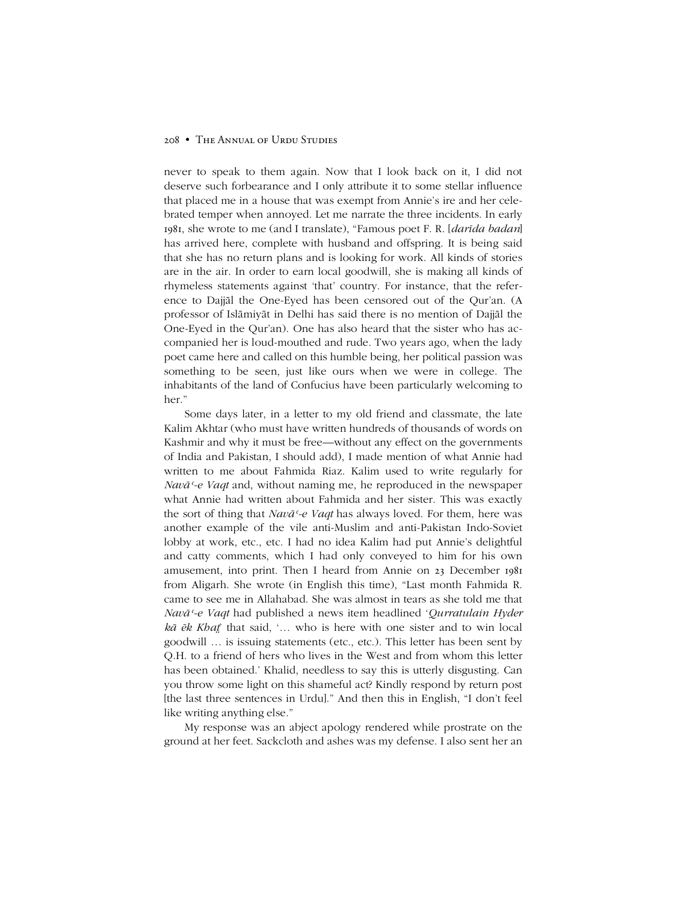### 208 • THE ANNUAL OF URDU STUDIES

never to speak to them again. Now that I look back on it, I did not deserve such forbearance and I only attribute it to some stellar influence that placed me in a house that was exempt from Annie's ire and her celebrated temper when annoyed. Let me narrate the three incidents. In early 1981, she wrote to me (and I translate), "Famous poet F. R. [*darīda badan*] has arrived here, complete with husband and offspring. It is being said that she has no return plans and is looking for work. All kinds of stories are in the air. In order to earn local goodwill, she is making all kinds of rhymeless statements against 'that' country. For instance, that the reference to Dajjāl the One-Eyed has been censored out of the Qur'an. (A professor of Islāmiyāt in Delhi has said there is no mention of Dajjāl the One-Eyed in the Qur'an). One has also heard that the sister who has accompanied her is loud-mouthed and rude. Two years ago, when the lady poet came here and called on this humble being, her political passion was something to be seen, just like ours when we were in college. The inhabitants of the land of Confucius have been particularly welcoming to her."

Some days later, in a letter to my old friend and classmate, the late Kalim Akhtar (who must have written hundreds of thousands of words on Kashmir and why it must be free—without any effect on the governments of India and Pakistan, I should add), I made mention of what Annie had written to me about Fahmida Riaz. Kalim used to write regularly for *Navāʿ-e Vaqt* and, without naming me, he reproduced in the newspaper what Annie had written about Fahmida and her sister. This was exactly the sort of thing that *Navāʿ-e Vaqt* has always loved. For them, here was another example of the vile anti-Muslim and anti-Pakistan Indo-Soviet lobby at work, etc., etc. I had no idea Kalim had put Annie's delightful and catty comments, which I had only conveyed to him for his own amusement, into print. Then I heard from Annie on 23 December 1981 from Aligarh. She wrote (in English this time), "Last month Fahmida R. came to see me in Allahabad. She was almost in tears as she told me that *Navāʿ-e Vaqt* had published a news item headlined ë*Qurratulain Hyder*  $k\bar{a}$   $\bar{e}k$  *Khat* that said,  $\ldots$  who is here with one sister and to win local goodwill  $\ldots$  is issuing statements (etc., etc.). This letter has been sent by Q.H. to a friend of hers who lives in the West and from whom this letter has been obtained.' Khalid, needless to say this is utterly disgusting. Can you throw some light on this shameful act? Kindly respond by return post [the last three sentences in Urdu]." And then this in English, "I don't feel like writing anything else."

My response was an abject apology rendered while prostrate on the ground at her feet. Sackcloth and ashes was my defense. I also sent her an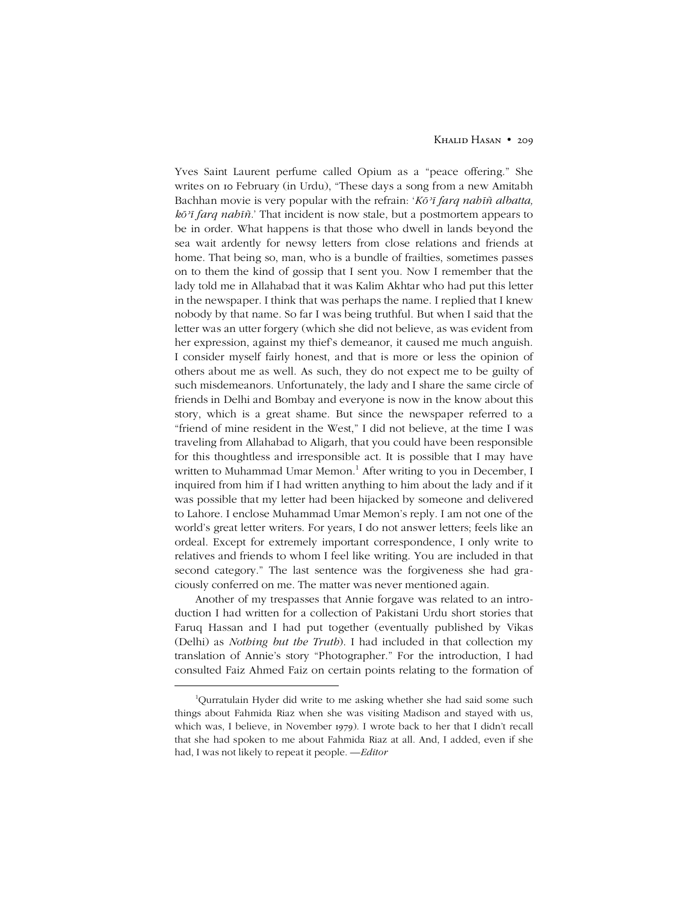Yves Saint Laurent perfume called Opium as a "peace offering." She writes on 10 February (in Urdu), "These days a song from a new Amitabh Bachhan movie is very popular with the refrain: ë*Kōʾī farq nahīñ albatta, kōʾī farq nahīñ.*í That incident is now stale, but a postmortem appears to be in order. What happens is that those who dwell in lands beyond the sea wait ardently for newsy letters from close relations and friends at home. That being so, man, who is a bundle of frailties, sometimes passes on to them the kind of gossip that I sent you. Now I remember that the lady told me in Allahabad that it was Kalim Akhtar who had put this letter in the newspaper. I think that was perhaps the name. I replied that I knew nobody by that name. So far I was being truthful. But when I said that the letter was an utter forgery (which she did not believe, as was evident from her expression, against my thief's demeanor, it caused me much anguish. I consider myself fairly honest, and that is more or less the opinion of others about me as well. As such, they do not expect me to be guilty of such misdemeanors. Unfortunately, the lady and I share the same circle of friends in Delhi and Bombay and everyone is now in the know about this story, which is a great shame. But since the newspaper referred to a ìfriend of mine resident in the West,î I did not believe, at the time I was traveling from Allahabad to Aligarh, that you could have been responsible for this thoughtless and irresponsible act. It is possible that I may have written to Muhammad Umar Memon. <sup>1</sup> After writing to you in December, I inquired from him if I had written anything to him about the lady and if it was possible that my letter had been hijacked by someone and delivered to Lahore. I enclose Muhammad Umar Memon's reply. I am not one of the world's great letter writers. For years, I do not answer letters; feels like an ordeal. Except for extremely important correspondence, I only write to relatives and friends to whom I feel like writing. You are included in that second category." The last sentence was the forgiveness she had graciously conferred on me. The matter was never mentioned again.

Another of my trespasses that Annie forgave was related to an introduction I had written for a collection of Pakistani Urdu short stories that Faruq Hassan and I had put together (eventually published by Vikas (Delhi) as *Nothing but the Truth*). I had included in that collection my translation of Annie's story "Photographer." For the introduction, I had consulted Faiz Ahmed Faiz on certain points relating to the formation of

 $\begin{array}{c}\n\hline\n\end{array}$ <sup>1</sup>Ourratulain Hyder did write to me asking whether she had said some such things about Fahmida Riaz when she was visiting Madison and stayed with us, which was, I believe, in November 1979). I wrote back to her that I didn't recall that she had spoken to me about Fahmida Riaz at all. And, I added, even if she had, I was not likely to repeat it people. -*Editor*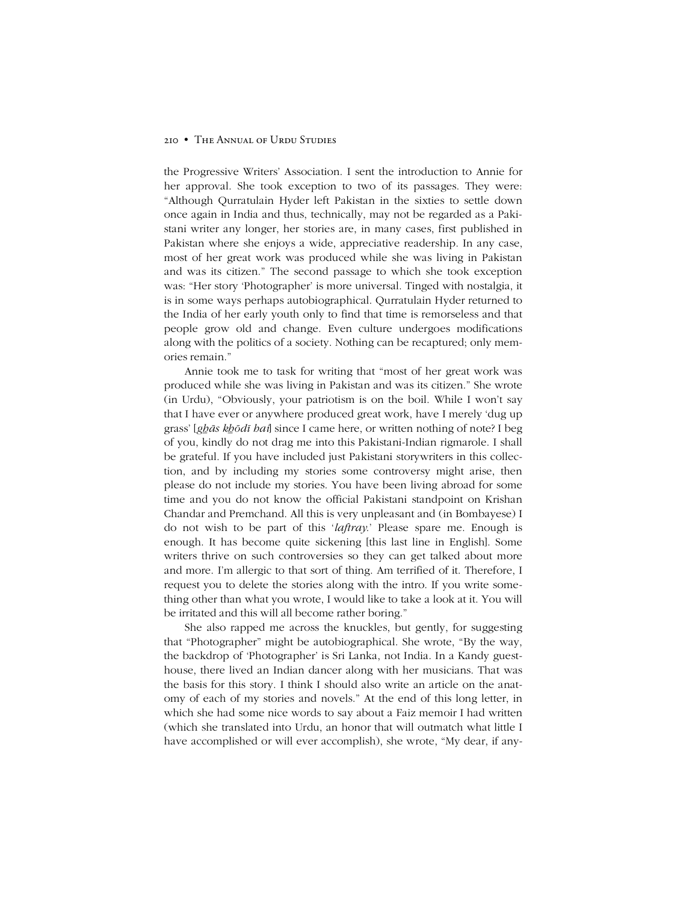### 210 • The Annual of Urdu Studies

the Progressive Writersí Association. I sent the introduction to Annie for her approval. She took exception to two of its passages. They were: ìAlthough Qurratulain Hyder left Pakistan in the sixties to settle down once again in India and thus, technically, may not be regarded as a Pakistani writer any longer, her stories are, in many cases, first published in Pakistan where she enjoys a wide, appreciative readership. In any case, most of her great work was produced while she was living in Pakistan and was its citizen.î The second passage to which she took exception was: "Her story 'Photographer' is more universal. Tinged with nostalgia, it is in some ways perhaps autobiographical. Qurratulain Hyder returned to the India of her early youth only to find that time is remorseless and that people grow old and change. Even culture undergoes modifications along with the politics of a society. Nothing can be recaptured; only memories remain."

Annie took me to task for writing that "most of her great work was produced while she was living in Pakistan and was its citizen." She wrote (in Urdu), "Obviously, your patriotism is on the boil. While I won't say that I have ever or anywhere produced great work, have I merely 'dug up grassí [*gẖās kẖōdī hai*] since I came here, or written nothing of note? I beg of you, kindly do not drag me into this Pakistani-Indian rigmarole. I shall be grateful. If you have included just Pakistani storywriters in this collection, and by including my stories some controversy might arise, then please do not include my stories. You have been living abroad for some time and you do not know the official Pakistani standpoint on Krishan Chandar and Premchand. All this is very unpleasant and (in Bombayese) I do not wish to be part of this *'laftray*.' Please spare me. Enough is enough. It has become quite sickening [this last line in English]. Some writers thrive on such controversies so they can get talked about more and more. I'm allergic to that sort of thing. Am terrified of it. Therefore, I request you to delete the stories along with the intro. If you write something other than what you wrote, I would like to take a look at it. You will be irritated and this will all become rather boring."

She also rapped me across the knuckles, but gently, for suggesting that "Photographer" might be autobiographical. She wrote, "By the way, the backdrop of 'Photographer' is Sri Lanka, not India. In a Kandy guesthouse, there lived an Indian dancer along with her musicians. That was the basis for this story. I think I should also write an article on the anatomy of each of my stories and novels." At the end of this long letter, in which she had some nice words to say about a Faiz memoir I had written (which she translated into Urdu, an honor that will outmatch what little I have accomplished or will ever accomplish), she wrote, "My dear, if any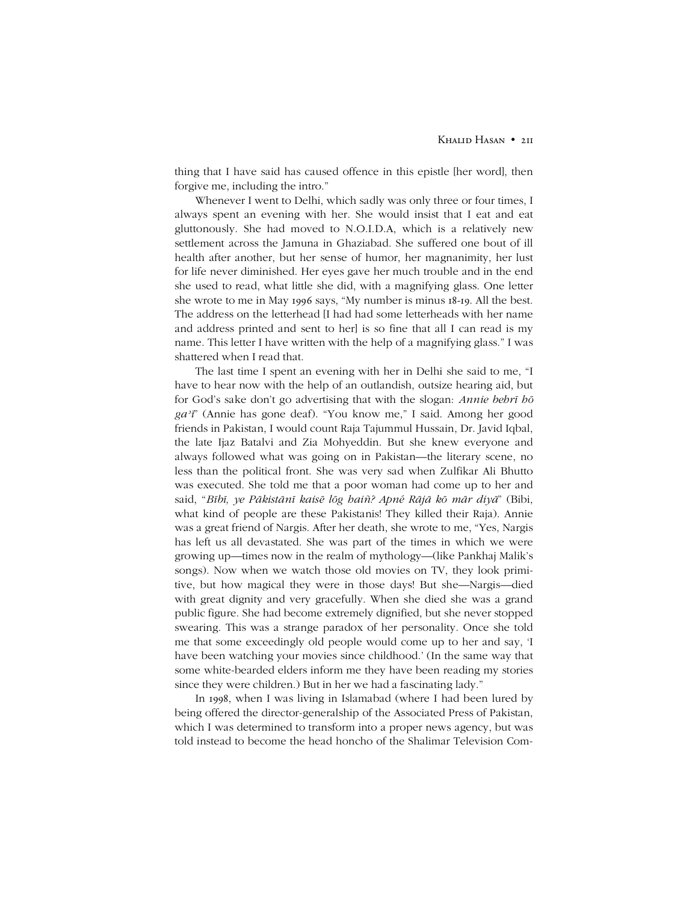thing that I have said has caused offence in this epistle [her word], then forgive me, including the intro.<sup>n</sup>

Whenever I went to Delhi, which sadly was only three or four times, I always spent an evening with her. She would insist that I eat and eat gluttonously. She had moved to N.O.I.D.A, which is a relatively new settlement across the Jamuna in Ghaziabad. She suffered one bout of ill health after another, but her sense of humor, her magnanimity, her lust for life never diminished. Her eyes gave her much trouble and in the end she used to read, what little she did, with a magnifying glass. One letter she wrote to me in May 1996 says, "My number is minus 18-19. All the best. The address on the letterhead [I had had some letterheads with her name and address printed and sent to her] is so fine that all I can read is my name. This letter I have written with the help of a magnifying glass." I was shattered when I read that.

The last time I spent an evening with her in Delhi she said to me, "I have to hear now with the help of an outlandish, outsize hearing aid, but for Godís sake donít go advertising that with the slogan: *Annie behrī hō* ga<sup>2</sup>*i*<sup>n</sup> (Annie has gone deaf). "You know me," I said. Among her good friends in Pakistan, I would count Raja Tajummul Hussain, Dr. Javid Iqbal, the late Ijaz Batalvi and Zia Mohyeddin. But she knew everyone and always followed what was going on in Pakistan—the literary scene, no less than the political front. She was very sad when Zulfikar Ali Bhutto was executed. She told me that a poor woman had come up to her and said, "Bībī, ye Pākistānī kaisē lōg haiñ? Apné Rājā kō mār diyā" (Bibi, what kind of people are these Pakistanis! They killed their Raja). Annie was a great friend of Nargis. After her death, she wrote to me, "Yes, Nargis has left us all devastated. She was part of the times in which we were growing up—times now in the realm of mythology—(like Pankhaj Malik's songs). Now when we watch those old movies on TV, they look primitive, but how magical they were in those days! But she—Nargis—died with great dignity and very gracefully. When she died she was a grand public figure. She had become extremely dignified, but she never stopped swearing. This was a strange paradox of her personality. Once she told me that some exceedingly old people would come up to her and say, 'I have been watching your movies since childhood.' (In the same way that some white-bearded elders inform me they have been reading my stories since they were children.) But in her we had a fascinating lady."

In 1998, when I was living in Islamabad (where I had been lured by being offered the director-generalship of the Associated Press of Pakistan, which I was determined to transform into a proper news agency, but was told instead to become the head honcho of the Shalimar Television Com-